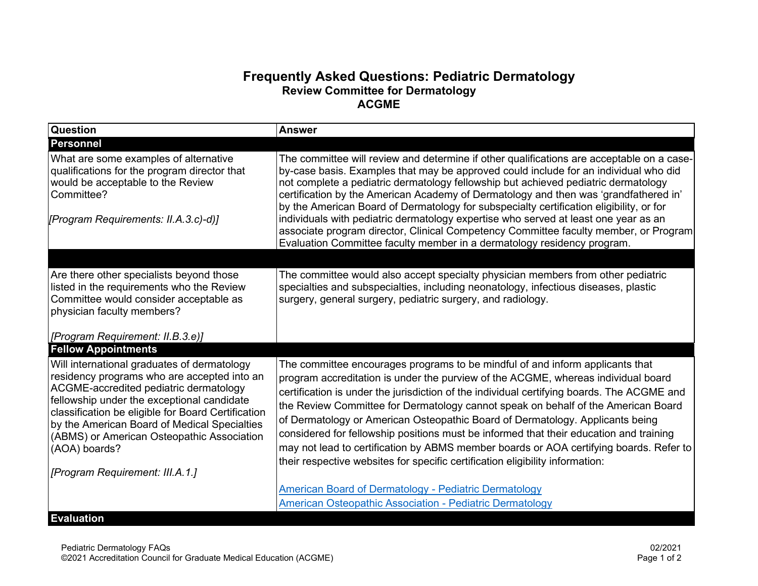## **Frequently Asked Questions: Pediatric Dermatology Review Committee for Dermatology ACGME**

| <b>Question</b>                                                                                                                                                                                                                                                                                                                                         | <b>Answer</b>                                                                                                                                                                                                                                                                                                                                                                                                                                                                                                                                                                                                                                                                                               |
|---------------------------------------------------------------------------------------------------------------------------------------------------------------------------------------------------------------------------------------------------------------------------------------------------------------------------------------------------------|-------------------------------------------------------------------------------------------------------------------------------------------------------------------------------------------------------------------------------------------------------------------------------------------------------------------------------------------------------------------------------------------------------------------------------------------------------------------------------------------------------------------------------------------------------------------------------------------------------------------------------------------------------------------------------------------------------------|
| <b>Personnel</b>                                                                                                                                                                                                                                                                                                                                        |                                                                                                                                                                                                                                                                                                                                                                                                                                                                                                                                                                                                                                                                                                             |
| What are some examples of alternative<br>qualifications for the program director that<br>would be acceptable to the Review<br>Committee?                                                                                                                                                                                                                | The committee will review and determine if other qualifications are acceptable on a case-<br>by-case basis. Examples that may be approved could include for an individual who did<br>not complete a pediatric dermatology fellowship but achieved pediatric dermatology<br>certification by the American Academy of Dermatology and then was 'grandfathered in'<br>by the American Board of Dermatology for subspecialty certification eligibility, or for                                                                                                                                                                                                                                                  |
| [Program Requirements: II.A.3.c)-d)]                                                                                                                                                                                                                                                                                                                    | individuals with pediatric dermatology expertise who served at least one year as an<br>associate program director, Clinical Competency Committee faculty member, or Program<br>Evaluation Committee faculty member in a dermatology residency program.                                                                                                                                                                                                                                                                                                                                                                                                                                                      |
|                                                                                                                                                                                                                                                                                                                                                         |                                                                                                                                                                                                                                                                                                                                                                                                                                                                                                                                                                                                                                                                                                             |
| Are there other specialists beyond those<br>listed in the requirements who the Review<br>Committee would consider acceptable as<br>physician faculty members?                                                                                                                                                                                           | The committee would also accept specialty physician members from other pediatric<br>specialties and subspecialties, including neonatology, infectious diseases, plastic<br>surgery, general surgery, pediatric surgery, and radiology.                                                                                                                                                                                                                                                                                                                                                                                                                                                                      |
|                                                                                                                                                                                                                                                                                                                                                         |                                                                                                                                                                                                                                                                                                                                                                                                                                                                                                                                                                                                                                                                                                             |
| <b>Fellow Appointments</b>                                                                                                                                                                                                                                                                                                                              |                                                                                                                                                                                                                                                                                                                                                                                                                                                                                                                                                                                                                                                                                                             |
| Will international graduates of dermatology<br>residency programs who are accepted into an<br>ACGME-accredited pediatric dermatology<br>fellowship under the exceptional candidate<br>classification be eligible for Board Certification<br>by the American Board of Medical Specialties<br>(ABMS) or American Osteopathic Association<br>(AOA) boards? | The committee encourages programs to be mindful of and inform applicants that<br>program accreditation is under the purview of the ACGME, whereas individual board<br>certification is under the jurisdiction of the individual certifying boards. The ACGME and<br>the Review Committee for Dermatology cannot speak on behalf of the American Board<br>of Dermatology or American Osteopathic Board of Dermatology. Applicants being<br>considered for fellowship positions must be informed that their education and training<br>may not lead to certification by ABMS member boards or AOA certifying boards. Refer to<br>their respective websites for specific certification eligibility information: |
|                                                                                                                                                                                                                                                                                                                                                         |                                                                                                                                                                                                                                                                                                                                                                                                                                                                                                                                                                                                                                                                                                             |
|                                                                                                                                                                                                                                                                                                                                                         | <b>American Board of Dermatology - Pediatric Dermatology</b>                                                                                                                                                                                                                                                                                                                                                                                                                                                                                                                                                                                                                                                |
|                                                                                                                                                                                                                                                                                                                                                         | <b>American Osteopathic Association - Pediatric Dermatology</b>                                                                                                                                                                                                                                                                                                                                                                                                                                                                                                                                                                                                                                             |
| [Program Requirement: II.B.3.e)]<br>[Program Requirement: III.A.1.]<br><b>Evaluation</b>                                                                                                                                                                                                                                                                |                                                                                                                                                                                                                                                                                                                                                                                                                                                                                                                                                                                                                                                                                                             |